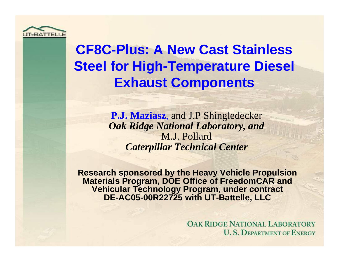

# **CF8C-Plus: A New Cast Stainless Steel for High-Temperature Diesel Exhaust Components**

**P.J. Maziasz**, and J.P Shingledecker *Oak Ridge National Laboratory, and* M.J. Pollard *Caterpillar Technical Center*

**Research sponsored by the Heavy Vehicle Propulsion Materials Program, DOE Office of FreedomCAR and Vehicular Technology Program, under contract DE-AC05-00R22725 with UT-Battelle, LLC**

> **OAK RIDGE NATIONAL LABORATORY U. S. DEPARTMENT OF ENERGY**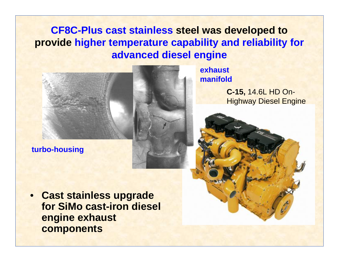### **CF8C-Plus cast stainless steel was developed to provide higher temperature capability and reliability for advanced diesel engine**



**exhaust manifold** 

> **C-15,** 14.6L HD On-Highway Diesel Engine

**turbo-housing** 

• **Cast stainless upgrade for SiMo cast-iron diesel engine exhaust components**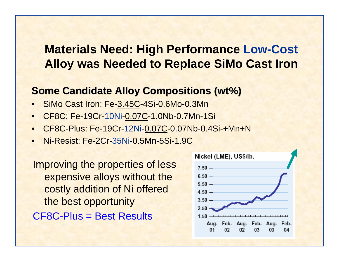## **Materials Need: High Performance Low-Cost Alloy was Needed to Replace SiMo Cast Iron**

#### **Some Candidate Alloy Compositions (wt%)**

- SiMo Cast Iron: Fe-3.45C-4Si-0.6Mo-0.3Mn
- CF8C: Fe-19Cr-10Ni-0.07C-1.0Nb-0.7Mn-1Si
- CF8C-Plus: Fe-19Cr-12Ni-0.07C-0.07Nb-0.4Si-+Mn+N
- Ni-Resist: Fe-2Cr-35Ni-0.5Mn-5Si-1.9C

Improving the properties of less expensive alloys without the costly addition of Ni offered the best opportunity CF8C-Plus = Best Results

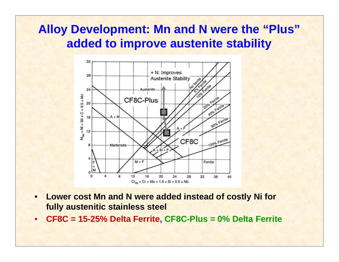## **Alloy Development: Mn and N were the "Plus" added to improve austenite stability**



- **Lower cost Mn and N were added instead of costly Ni for fully austenitic stainless steel**
- **CF8C = 15-25% Delta Ferrite, CF8C-Plus = 0% Delta Ferrite**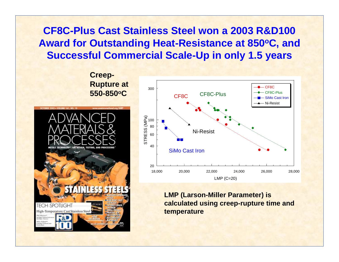### **CF8C-Plus Cast Stainless Steel won a 2003 R&D100**  Award for Outstanding Heat-Resistance at 850°C, and **Successful Commercial Scale-Up in only 1.5 years**

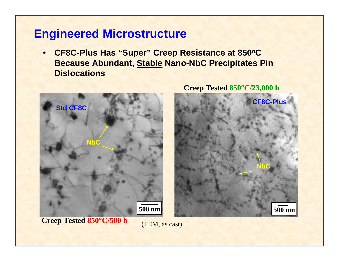## **Engineered Microstructure**

• **CF8C-Plus Has "Super" Creep Resistance at 850 oC Because Abundant, Stable Nano-NbC Precipitates Pin Dislocations** 



**Creep Tested 850 °C/23,000 h** 



**Creep Tested 850 °C/500 h** 

(TEM, as cast)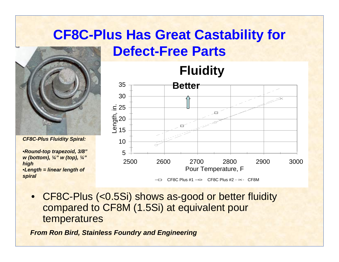## **CF8C-Plus Has Great Castability for Defect-Free Parts**



*CF8C-Plus Fluidity Spiral:* 

•*Round-top trapezoid, 3/8" w (bottom), ¼" w (top), ¼" high*  •*Length = linear length of spiral* 



 $\overline{C}$  CF8C Plus #1  $\rightarrow$  CF8C Plus #2 - $\times$ - CF8M

• CF8C-Plus (<0.5Si) shows as-good or better fluidity compared to CF8M (1.5Si) at equivalent pour temperatures

*From Ron Bird, Stainless Foundry and Engineering*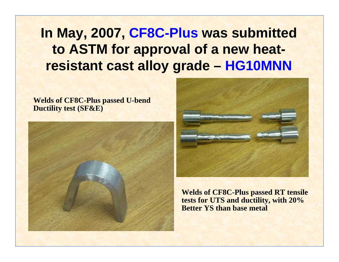**In May, 2007, CF8C-Plus was submitted to ASTM for approval of a new heatresistant cast alloy grade – HG10MNN** 

**Welds of CF8C-Plus passed U-bend Ductility test (SF&E)** 





**Welds of CF8C-Plus passed RT tensile tests for UTS and ductility, with 20% Better YS than base metal**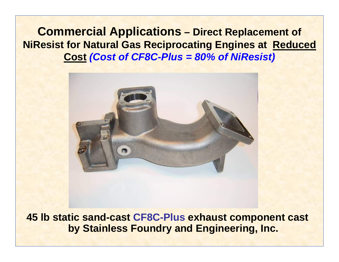**Commercial Applications – Direct Replacement of NiResist for Natural Gas Reciprocating Engines at Reduced Cost** *(Cost of CF8C-Plus = 80% of NiResist)* 



**45 lb static sand-cast CF8C-Plus exhaust component cast by Stainless Foundry and Engineering, Inc.**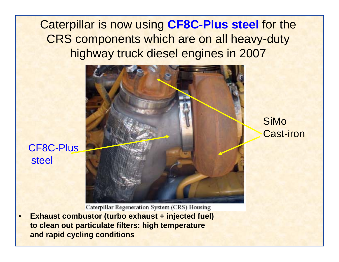Caterpillar is now using **CF8C-Plus steel** for the CRS components which are on all heavy-duty highway truck diesel engines in 2007



SiMo Cast-iron

CF8C-Plus steel

Caterpillar Regeneration System (CRS) Housing

• **Exhaust combustor (turbo exhaust + injected fuel) to clean out particulate filters: high temperature and rapid cycling conditions**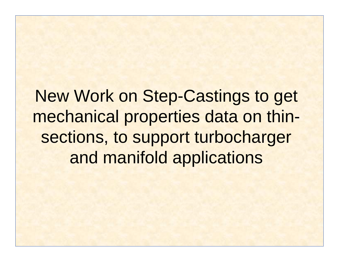# New Work on Step-Castings to get mechanical properties data on thinsections, to support turbocharger and manifold applications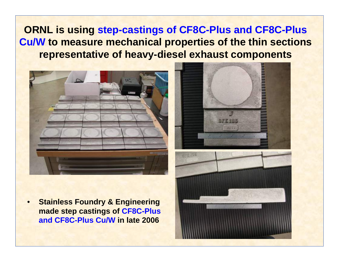### **ORNL is using step-castings of CF8C-Plus and CF8C-Plus Cu/W to measure mechanical properties of the thin sections representative of heavy-diesel exhaust components**



- 
- 
- **Stainless Foundry & Engineering made step castings of CF8C-Plus and CF8C-Plus Cu/W in late 2006**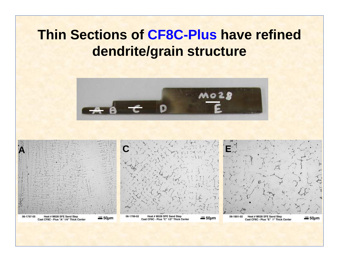# **Thin Sections of CF8C-Plus have refined dendrite/grain structure**



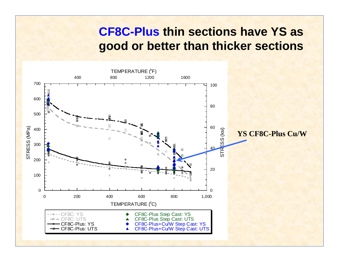## **CF8C-Plus thin sections have YS as good or better than thicker sections**

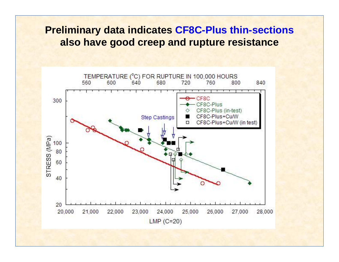#### **Preliminary data indicates CF8C-Plus thin-sections also have good creep and rupture resistance**

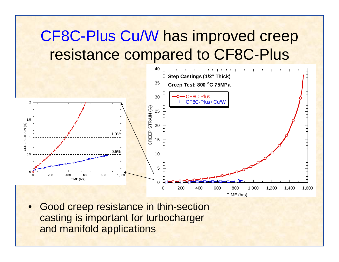# CF8C-Plus Cu/W has improved creep resistance compared to CF8C-Plus



• Good creep resistance in thin-section casting is important for turbocharger and manifold applications